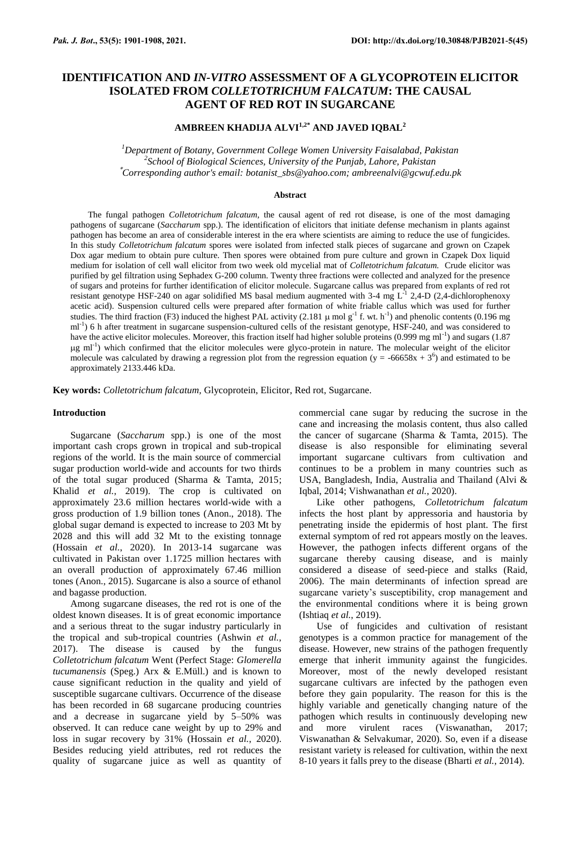# **IDENTIFICATION AND** *IN-VITRO* **ASSESSMENT OF A GLYCOPROTEIN ELICITOR ISOLATED FROM** *COLLETOTRICHUM FALCATUM***: THE CAUSAL AGENT OF RED ROT IN SUGARCANE**

# **AMBREEN KHADIJA ALVI1,2\* AND JAVED IQBAL<sup>2</sup>**

*<sup>1</sup>Department of Botany, Government College Women University Faisalabad, Pakistan 2 School of Biological Sciences, University of the Punjab, Lahore, Pakistan* \**Corresponding author's email: botanist\_sbs@yahoo.com; ambreenalvi@gcwuf.edu.pk*

### **Abstract**

The fungal pathogen *Colletotrichum falcatum,* the causal agent of red rot disease, is one of the most damaging pathogens of sugarcane (*Saccharum* spp.). The identification of elicitors that initiate defense mechanism in plants against pathogen has become an area of considerable interest in the era where scientists are aiming to reduce the use of fungicides. In this study *Colletotrichum falcatum* spores were isolated from infected stalk pieces of sugarcane and grown on Czapek Dox agar medium to obtain pure culture. Then spores were obtained from pure culture and grown in Czapek Dox liquid medium for isolation of cell wall elicitor from two week old mycelial mat of *Colletotrichum falcatum.* Crude elicitor was purified by gel filtration using Sephadex G-200 column. Twenty three fractions were collected and analyzed for the presence of sugars and proteins for further identification of elicitor molecule. Sugarcane callus was prepared from explants of red rot resistant genotype HSF-240 on agar solidified MS basal medium augmented with 3-4 mg  $L<sup>1</sup>$  2,4-D (2,4-dichlorophenoxy acetic acid). Suspension cultured cells were prepared after formation of white friable callus which was used for further studies. The third fraction (F3) induced the highest PAL activity (2.181  $\mu$  mol g<sup>-1</sup> f. wt. h<sup>-1</sup>) and phenolic contents (0.196 mg ml<sup>-1</sup>) 6 h after treatment in sugarcane suspension-cultured cells of the resistant genotype, HSF-240, and was considered to have the active elicitor molecules. Moreover, this fraction itself had higher soluble proteins (0.999 mg ml<sup>-1</sup>) and sugars (1.87)  $\mu$ g ml<sup>-1</sup>) which confirmed that the elicitor molecules were glyco-protein in nature. The molecular weight of the elicitor molecule was calculated by drawing a regression plot from the regression equation ( $y = -66658x + 3^6$ ) and estimated to be approximately 2133.446 kDa.

**Key words:** *Colletotrichum falcatum,* Glycoprotein, Elicitor, Red rot, Sugarcane.

### **Introduction**

Sugarcane (*Saccharum* spp.) is one of the most important cash crops grown in tropical and sub-tropical regions of the world. It is the main source of commercial sugar production world-wide and accounts for two thirds of the total sugar produced (Sharma & Tamta, 2015; Khalid *et al.*, 2019). The crop is cultivated on approximately 23.6 million hectares world-wide with a gross production of 1.9 billion tones (Anon., 2018). The global sugar demand is expected to increase to 203 Mt by 2028 and this will add 32 Mt to the existing tonnage (Hossain *et al.*, 2020). In 2013-14 sugarcane was cultivated in Pakistan over 1.1725 million hectares with an overall production of approximately 67.46 million tones (Anon., 2015). Sugarcane is also a source of ethanol and bagasse production.

Among sugarcane diseases, the red rot is one of the oldest known diseases. It is of great economic importance and a serious threat to the sugar industry particularly in the tropical and sub-tropical countries (Ashwin *et al.*, 2017). The disease is caused by the fungus *Colletotrichum falcatum* Went (Perfect Stage: *Glomerella tucumanensis* (Speg.) Arx & E.Müll.) and is known to cause significant reduction in the quality and yield of susceptible sugarcane cultivars. Occurrence of the disease has been recorded in 68 sugarcane producing countries and a decrease in sugarcane yield by 5–50% was observed. It can reduce cane weight by up to 29% and loss in sugar recovery by 31% (Hossain *et al.*, 2020). Besides reducing yield attributes, red rot reduces the quality of sugarcane juice as well as quantity of commercial cane sugar by reducing the sucrose in the cane and increasing the molasis content, thus also called the cancer of sugarcane (Sharma & Tamta, 2015). The disease is also responsible for eliminating several important sugarcane cultivars from cultivation and continues to be a problem in many countries such as USA, Bangladesh, India, Australia and Thailand (Alvi & Iqbal, 2014; Vishwanathan *et al.*, 2020).

Like other pathogens, *Colletotrichum falcatum* infects the host plant by appressoria and haustoria by penetrating inside the epidermis of host plant. The first external symptom of red rot appears mostly on the leaves. However, the pathogen infects different organs of the sugarcane thereby causing disease, and is mainly considered a disease of seed-piece and stalks (Raid, 2006). The main determinants of infection spread are sugarcane variety's susceptibility, crop management and the environmental conditions where it is being grown (Ishtiaq *et al.*, 2019).

Use of fungicides and cultivation of resistant genotypes is a common practice for management of the disease. However, new strains of the pathogen frequently emerge that inherit immunity against the fungicides. Moreover, most of the newly developed resistant sugarcane cultivars are infected by the pathogen even before they gain popularity. The reason for this is the highly variable and genetically changing nature of the pathogen which results in continuously developing new and more virulent races (Viswanathan, 2017; Viswanathan & Selvakumar, 2020). So, even if a disease resistant variety is released for cultivation, within the next 8-10 years it falls prey to the disease (Bharti *et al.*, 2014).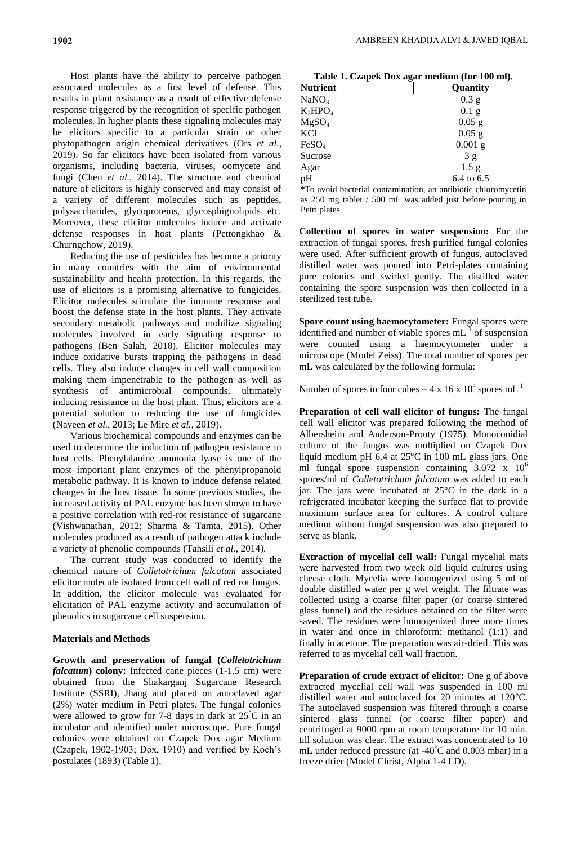Host plants have the ability to perceive pathogen associated molecules as a first level of defense. This results in plant resistance as a result of effective defense response triggered by the recognition of specific pathogen molecules. In higher plants these signaling molecules may be elicitors specific to a particular strain or other phytopathogen origin chemical derivatives (Ors *et al.*, 2019). So far elicitors have been isolated from various organisms, including bacteria, viruses, oomycete and fungi (Chen *et al.*, 2014). The structure and chemical nature of elicitors is highly conserved and may consist of a variety of different molecules such as peptides, polysaccharides, glycoproteins, glycosphignolipids etc. Moreover, these elicitor molecules induce and activate defense responses in host plants (Pettongkhao & Churngchow, 2019).

Reducing the use of pesticides has become a priority in many countries with the aim of environmental sustainability and health protection. In this regards, the use of elicitors is a promising alternative to fungicides. Elicitor molecules stimulate the immune response and boost the defense state in the host plants. They activate secondary metabolic pathways and mobilize signaling molecules involved in early signaling response to pathogens (Ben Salah, 2018). Elicitor molecules may induce oxidative bursts trapping the pathogens in dead cells. They also induce changes in cell wall composition making them impenetrable to the pathogen as well as synthesis of antimicrobial compounds, ultimately inducing resistance in the host plant. Thus, elicitors are a potential solution to reducing the use of fungicides (Naveen *et al.*, 2013; Le Mire *et al.*, 2019).

Various biochemical compounds and enzymes can be used to determine the induction of pathogen resistance in host cells. Phenylalanine ammonia lyase is one of the most important plant enzymes of the phenylpropanoid metabolic pathway. It is known to induce defense related changes in the host tissue. In some previous studies, the increased activity of PAL enzyme has been shown to have a positive correlation with red-rot resistance of sugarcane (Vishwanathan, 2012; Sharma & Tamta, 2015). Other molecules produced as a result of pathogen attack include a variety of phenolic compounds (Tahsili *et al.*, 2014).

The current study was conducted to identify the chemical nature of *Colletotrichum falcatum* associated elicitor molecule isolated from cell wall of red rot fungus. In addition, the elicitor molecule was evaluated for elicitation of PAL enzyme activity and accumulation of phenolics in sugarcane cell suspension.

# **Materials and Methods**

**Growth and preservation of fungal (***Colletotrichum falcatum***) colony:** Infected cane pieces (1-1.5 cm) were obtained from the Shakarganj Sugarcane Research Institute (SSRI), Jhang and placed on autoclaved agar (2%) water medium in Petri plates. The fungal colonies were allowed to grow for 7-8 days in dark at 25°C in an incubator and identified under microscope. Pure fungal colonies were obtained on Czapek Dox agar Medium (Czapek, 1902-1903; Dox, 1910) and verified by Koch's postulates (1893) (Table 1).

| Table 1. Czapek Dox agar medium (for 100 ml). |  |
|-----------------------------------------------|--|
|                                               |  |

| <b>Nutrient</b>   | ี∵⇔<br>Quantity  |
|-------------------|------------------|
| NaNO <sub>3</sub> | $0.3$ g          |
| $K_2HPO_4$        | $0.1$ g          |
| MgSO <sub>4</sub> | $0.05$ g         |
| KCl               | $0.05$ g         |
| FeSO <sub>4</sub> | $0.001$ g        |
| Sucrose           | 3g               |
| Agar              | 1.5 <sub>g</sub> |
| pH                | 6.4 to 6.5       |

\*To avoid bacterial contamination, an antibiotic chloromycetin as 250 mg tablet / 500 mL was added just before pouring in Petri plates

**Collection of spores in water suspension:** For the extraction of fungal spores, fresh purified fungal colonies were used. After sufficient growth of fungus, autoclaved distilled water was poured into Petri-plates containing pure colonies and swirled gently. The distilled water containing the spore suspension was then collected in a sterilized test tube.

**Spore count using haemocytometer:** Fungal spores were identified and number of viable spores  $mL^{-1}$  of suspension were counted using a haemocytometer under a microscope (Model Zeiss). The total number of spores per mL was calculated by the following formula:

Number of spores in four cubes =  $4 \times 16 \times 10^4$  spores mL<sup>-1</sup>

**Preparation of cell wall elicitor of fungus:** The fungal cell wall elicitor was prepared following the method of Albersheim and Anderson-Prouty (1975). Monoconidial culture of the fungus was multiplied on Czapek Dox liquid medium pH  $6.4$  at  $25^{\circ}$ C in 100 mL glass jars. One ml fungal spore suspension containing  $3.072 \times 10^6$ spores/ml of *Colletotrichum falcatum* was added to each iar. The jars were incubated at  $25^{\circ}$ C in the dark in a refrigerated incubator keeping the surface flat to provide maximum surface area for cultures. A control culture medium without fungal suspension was also prepared to serve as blank.

**Extraction of mycelial cell wall:** Fungal mycelial mats were harvested from two week old liquid cultures using cheese cloth. Mycelia were homogenized using 5 ml of double distilled water per g wet weight. The filtrate was collected using a coarse filter paper (or coarse sintered glass funnel) and the residues obtained on the filter were saved. The residues were homogenized three more times in water and once in chloroform: methanol (1:1) and finally in acetone. The preparation was air-dried. This was referred to as mycelial cell wall fraction.

**Preparation of crude extract of elicitor:** One g of above extracted mycelial cell wall was suspended in 100 ml distilled water and autoclaved for 20 minutes at 120°C. The autoclaved suspension was filtered through a coarse sintered glass funnel (or coarse filter paper) and centrifuged at 9000 rpm at room temperature for 10 min. till solution was clear. The extract was concentrated to 10 mL under reduced pressure (at  $-40^{\circ}$ C and 0.003 mbar) in a freeze drier (Model Christ, Alpha 1-4 LD).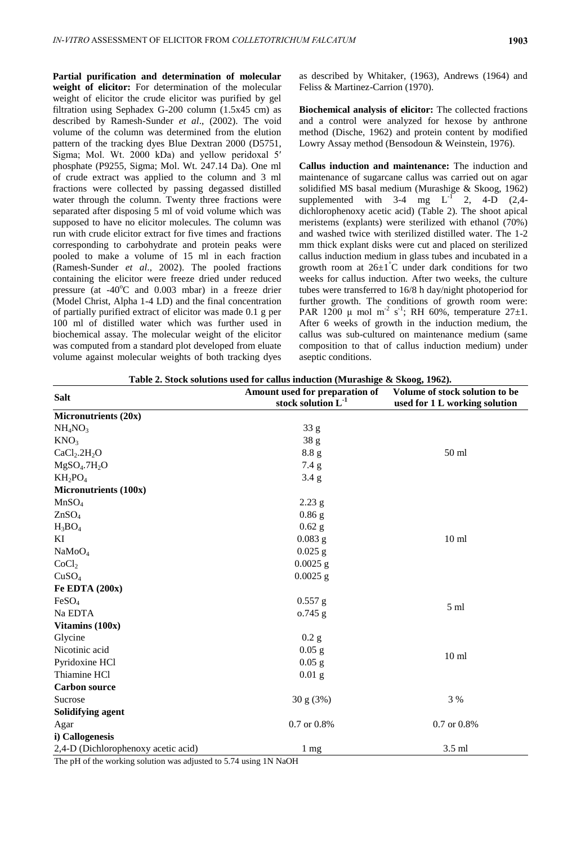**Partial purification and determination of molecular weight of elicitor:** For determination of the molecular weight of elicitor the crude elicitor was purified by gel filtration using Sephadex G-200 column (1.5x45 cm) as described by Ramesh-Sunder *et al*., (2002). The void volume of the column was determined from the elution pattern of the tracking dyes Blue Dextran 2000 (D5751, Sigma; Mol. Wt. 2000 kDa) and yellow peridoxal 5′ phosphate (P9255, Sigma; Mol. Wt. 247.14 Da). One ml of crude extract was applied to the column and 3 ml fractions were collected by passing degassed distilled water through the column. Twenty three fractions were separated after disposing 5 ml of void volume which was supposed to have no elicitor molecules. The column was run with crude elicitor extract for five times and fractions corresponding to carbohydrate and protein peaks were pooled to make a volume of 15 ml in each fraction (Ramesh-Sunder *et al*., 2002). The pooled fractions containing the elicitor were freeze dried under reduced pressure (at  $-40^{\circ}$ C and 0.003 mbar) in a freeze drier (Model Christ, Alpha 1-4 LD) and the final concentration of partially purified extract of elicitor was made 0.1 g per 100 ml of distilled water which was further used in biochemical assay. The molecular weight of the elicitor was computed from a standard plot developed from eluate volume against molecular weights of both tracking dyes as described by Whitaker, (1963), Andrews (1964) and Feliss & Martinez-Carrion (1970).

**Biochemical analysis of elicitor:** The collected fractions and a control were analyzed for hexose by anthrone method (Dische, 1962) and protein content by modified Lowry Assay method (Bensodoun & Weinstein, 1976).

**Callus induction and maintenance:** The induction and maintenance of sugarcane callus was carried out on agar solidified MS basal medium (Murashige & Skoog, 1962) supplemented with  $3-4$  mg L<sup>-1</sup> 2, 4-D (2,4dichlorophenoxy acetic acid) (Table 2). The shoot apical meristems (explants) were sterilized with ethanol (70%) and washed twice with sterilized distilled water. The 1-2 mm thick explant disks were cut and placed on sterilized callus induction medium in glass tubes and incubated in a growth room at  $26\pm1$ °C under dark conditions for two weeks for callus induction. After two weeks, the culture tubes were transferred to 16/8 h day/night photoperiod for further growth. The conditions of growth room were: PAR 1200  $\mu$  mol m<sup>-2</sup> s<sup>-1</sup>; RH 60%, temperature 27 $\pm$ 1. After 6 weeks of growth in the induction medium, the callus was sub-cultured on maintenance medium (same composition to that of callus induction medium) under aseptic conditions.

|  |  | Table 2. Stock solutions used for callus induction (Murashige & Skoog, 1962). |
|--|--|-------------------------------------------------------------------------------|
|  |  |                                                                               |

| <b>Salt</b>                          | Amount used for preparation of<br>stock solution $L^{-1}$ | Volume of stock solution to be<br>used for 1 L working solution |  |
|--------------------------------------|-----------------------------------------------------------|-----------------------------------------------------------------|--|
| Micronutrients (20x)                 |                                                           |                                                                 |  |
| NH <sub>4</sub> NO <sub>3</sub>      | 33 <sub>g</sub>                                           |                                                                 |  |
| KNO <sub>3</sub>                     | 38 <sub>g</sub>                                           |                                                                 |  |
| CaCl <sub>2</sub> .2H <sub>2</sub> O | 8.8 g                                                     | 50 ml                                                           |  |
| MgSO <sub>4</sub> .7H <sub>2</sub> O | 7.4 g                                                     |                                                                 |  |
| $KH_2PO_4$                           | $3.4\text{ g}$                                            |                                                                 |  |
| Micronutrients (100x)                |                                                           |                                                                 |  |
| MnSO <sub>4</sub>                    | $2.23$ g                                                  |                                                                 |  |
| ZnSO <sub>4</sub>                    | $0.86$ g                                                  |                                                                 |  |
| $H_3BO_4$                            | $0.62$ g                                                  |                                                                 |  |
| KI                                   | $0.083$ g                                                 | 10 <sub>ml</sub>                                                |  |
| NaMoO <sub>4</sub>                   | $0.025$ g                                                 |                                                                 |  |
| CoCl <sub>2</sub>                    | $0.0025$ g                                                |                                                                 |  |
| CuSO <sub>4</sub>                    | $0.0025$ g                                                |                                                                 |  |
| Fe EDTA (200x)                       |                                                           |                                                                 |  |
| FeSO <sub>4</sub>                    | $0.557$ g                                                 | 5 <sub>ml</sub>                                                 |  |
| Na EDTA                              | $0.745$ g                                                 |                                                                 |  |
| Vitamins (100x)                      |                                                           |                                                                 |  |
| Glycine                              | $0.2$ g                                                   |                                                                 |  |
| Nicotinic acid                       | $0.05$ g                                                  | 10 <sub>ml</sub>                                                |  |
| Pyridoxine HCl                       | $0.05$ g                                                  |                                                                 |  |
| Thiamine HCl                         | $0.01$ g                                                  |                                                                 |  |
| <b>Carbon source</b>                 |                                                           |                                                                 |  |
| Sucrose                              | 30 g (3%)                                                 | 3 %                                                             |  |
| Solidifying agent                    |                                                           |                                                                 |  |
| Agar                                 | 0.7 or 0.8%                                               | 0.7 or 0.8%                                                     |  |
| i) Callogenesis                      |                                                           |                                                                 |  |
| 2,4-D (Dichlorophenoxy acetic acid)  | 1 mg                                                      | 3.5 ml                                                          |  |

The pH of the working solution was adjusted to 5.74 using 1N NaOH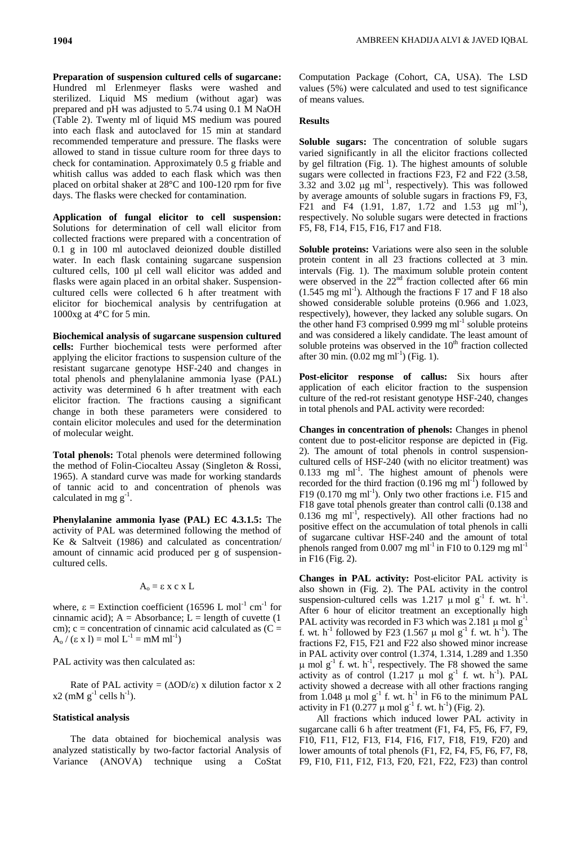**Preparation of suspension cultured cells of sugarcane:**  Hundred ml Erlenmeyer flasks were washed and sterilized. Liquid MS medium (without agar) was prepared and pH was adjusted to 5.74 using 0.1 M NaOH (Table 2). Twenty ml of liquid MS medium was poured into each flask and autoclaved for 15 min at standard recommended temperature and pressure. The flasks were allowed to stand in tissue culture room for three days to check for contamination. Approximately 0.5 g friable and whitish callus was added to each flask which was then placed on orbital shaker at 28°C and 100-120 rpm for five days. The flasks were checked for contamination.

**Application of fungal elicitor to cell suspension:**  Solutions for determination of cell wall elicitor from collected fractions were prepared with a concentration of 0.1 g in 100 ml autoclaved deionized double distilled water. In each flask containing sugarcane suspension cultured cells, 100 µl cell wall elicitor was added and flasks were again placed in an orbital shaker. Suspensioncultured cells were collected 6 h after treatment with elicitor for biochemical analysis by centrifugation at 1000xg at  $4^{\circ}$ C for 5 min.

**Biochemical analysis of sugarcane suspension cultured cells:** Further biochemical tests were performed after applying the elicitor fractions to suspension culture of the resistant sugarcane genotype HSF-240 and changes in total phenols and phenylalanine ammonia lyase (PAL) activity was determined 6 h after treatment with each elicitor fraction. The fractions causing a significant change in both these parameters were considered to contain elicitor molecules and used for the determination of molecular weight.

**Total phenols:** Total phenols were determined following the method of Folin-Ciocalteu Assay (Singleton & Rossi, 1965). A standard curve was made for working standards of tannic acid to and concentration of phenols was calculated in mg  $g^{-1}$ .

**Phenylalanine ammonia lyase (PAL) EC 4.3.1.5:** The activity of PAL was determined following the method of Ke & Saltveit (1986) and calculated as concentration/ amount of cinnamic acid produced per g of suspensioncultured cells.

$$
A_o = \epsilon \; x \; c \; x \; L
$$

where,  $\epsilon$  = Extinction coefficient (16596 L mol<sup>-1</sup> cm<sup>-1</sup> for cinnamic acid);  $A = Absorbance$ ;  $L = length of cuvette$  (1 cm);  $c =$  concentration of cinnamic acid calculated as  $(C =$  $A_0 / (\epsilon \times 1) = \text{mol L}^{-1} = \text{mM ml}^{-1}$ 

PAL activity was then calculated as:

Rate of PAL activity =  $(\Delta OD/\epsilon)$  x dilution factor x 2  $x2$  (mM  $g^{-1}$  cells h<sup>-1</sup>).

# **Statistical analysis**

The data obtained for biochemical analysis was analyzed statistically by two-factor factorial Analysis of Variance (ANOVA) technique using a CoStat Computation Package (Cohort, CA, USA). The LSD values (5%) were calculated and used to test significance of means values.

## **Results**

**Soluble sugars:** The concentration of soluble sugars varied significantly in all the elicitor fractions collected by gel filtration (Fig. 1). The highest amounts of soluble sugars were collected in fractions F23, F2 and F22 (3.58, 3.32 and 3.02  $\mu$ g ml<sup>-1</sup>, respectively). This was followed by average amounts of soluble sugars in fractions F9, F3, F21 and F4 (1.91, 1.87, 1.72 and 1.53  $\mu$ g ml<sup>-1</sup>), respectively. No soluble sugars were detected in fractions F5, F8, F14, F15, F16, F17 and F18.

**Soluble proteins:** Variations were also seen in the soluble protein content in all 23 fractions collected at 3 min. intervals (Fig. 1). The maximum soluble protein content were observed in the 22<sup>nd</sup> fraction collected after 66 min  $(1.545 \text{ mg ml}^{-1})$ . Although the fractions F 17 and F 18 also showed considerable soluble proteins (0.966 and 1.023, respectively), however, they lacked any soluble sugars. On the other hand F3 comprised 0.999 mg ml<sup>-1</sup> soluble proteins and was considered a likely candidate. The least amount of soluble proteins was observed in the  $10<sup>th</sup>$  fraction collected after 30 min.  $(0.02 \text{ mg ml}^{-1})$  (Fig. 1).

**Post-elicitor response of callus:** Six hours after application of each elicitor fraction to the suspension culture of the red-rot resistant genotype HSF-240, changes in total phenols and PAL activity were recorded:

**Changes in concentration of phenols:** Changes in phenol content due to post-elicitor response are depicted in (Fig. 2). The amount of total phenols in control suspensioncultured cells of HSF-240 (with no elicitor treatment) was  $0.133$  mg ml<sup>-1</sup>. The highest amount of phenols were recorded for the third fraction  $(0.196 \text{ mg ml}^{-1})$  followed by F19 (0.170 mg ml<sup>-1</sup>). Only two other fractions i.e. F15 and F18 gave total phenols greater than control calli (0.138 and  $0.136$  mg ml<sup>-1</sup>, respectively). All other fractions had no positive effect on the accumulation of total phenols in calli of sugarcane cultivar HSF-240 and the amount of total phenols ranged from 0.007 mg ml<sup>-1</sup> in F10 to 0.129 mg ml<sup>-1</sup> in F16 (Fig. 2).

**Changes in PAL activity:** Post-elicitor PAL activity is also shown in (Fig. 2). The PAL activity in the control suspension-cultured cells was 1.217  $\mu$  mol g<sup>-1</sup> f. wt. h<sup>-1</sup>. After 6 hour of elicitor treatment an exceptionally high PAL activity was recorded in F3 which was 2.181  $\mu$  mol  $g^{-1}$ f. wt. h<sup>-1</sup> followed by F23 (1.567  $\mu$  mol g<sup>-1</sup> f. wt. h<sup>-1</sup>). The fractions F2, F15, F21 and F22 also showed minor increase in PAL activity over control (1.374, 1.314, 1.289 and 1.350  $\mu$  mol g<sup>-1</sup> f. wt. h<sup>-1</sup>, respectively. The F8 showed the same activity as of control  $(1.217 \mu \text{ mol g}^{-1} \text{ f. wt. h}^{-1})$ . PAL activity showed a decrease with all other fractions ranging from 1.048  $\mu$  mol g<sup>-1</sup> f. wt. h<sup>-1</sup> in F6 to the minimum PAL activity in F1 (0.277  $\mu$  mol g<sup>-1</sup> f. wt. h<sup>-1</sup>) (Fig. 2).

All fractions which induced lower PAL activity in sugarcane calli 6 h after treatment (F1, F4, F5, F6, F7, F9, F10, F11, F12, F13, F14, F16, F17, F18, F19, F20) and lower amounts of total phenols (F1, F2, F4, F5, F6, F7, F8, F9, F10, F11, F12, F13, F20, F21, F22, F23) than control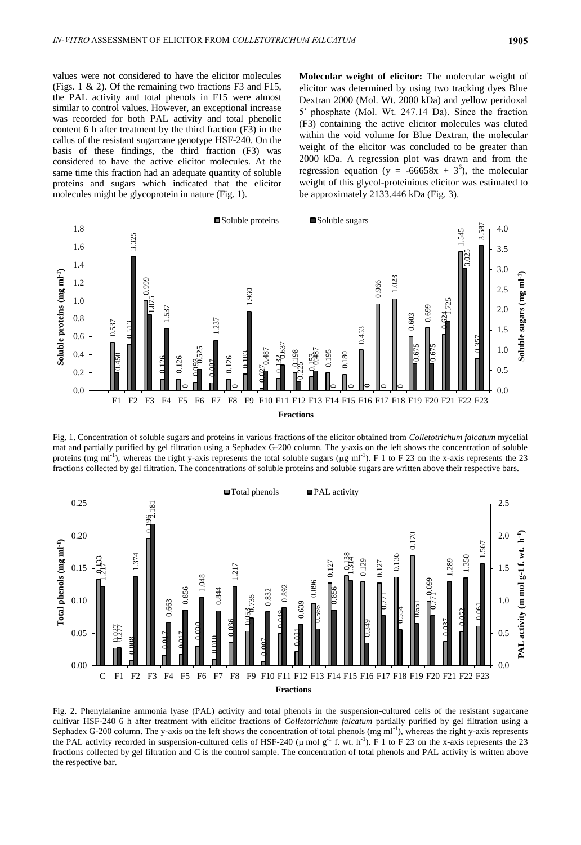values were not considered to have the elicitor molecules (Figs. 1 & 2). Of the remaining two fractions F3 and F15, the PAL activity and total phenols in F15 were almost similar to control values. However, an exceptional increase was recorded for both PAL activity and total phenolic content 6 h after treatment by the third fraction (F3) in the callus of the resistant sugarcane genotype HSF-240. On the basis of these findings, the third fraction (F3) was considered to have the active elicitor molecules. At the same time this fraction had an adequate quantity of soluble proteins and sugars which indicated that the elicitor molecules might be glycoprotein in nature (Fig. 1).

**Molecular weight of elicitor:** The molecular weight of elicitor was determined by using two tracking dyes Blue Dextran 2000 (Mol. Wt. 2000 kDa) and yellow peridoxal 5′ phosphate (Mol. Wt. 247.14 Da). Since the fraction (F3) containing the active elicitor molecules was eluted within the void volume for Blue Dextran, the molecular weight of the elicitor was concluded to be greater than 2000 kDa. A regression plot was drawn and from the regression equation (y =  $-66658x + 3^6$ ), the molecular weight of this glycol-proteinious elicitor was estimated to be approximately 2133.446 kDa (Fig. 3).



Fig. 1. Concentration of soluble sugars and proteins in various fractions of the elicitor obtained from *Colletotrichum falcatum* mycelial mat and partially purified by gel filtration using a Sephadex G-200 column*.* The y-axis on the left shows the concentration of soluble proteins (mg ml<sup>-1</sup>), whereas the right y-axis represents the total soluble sugars ( $\mu$ g ml<sup>-1</sup>). F 1 to F 23 on the x-axis represents the 23 fractions collected by gel filtration. The concentrations of soluble proteins and soluble sugars are written above their respective bars.



Fig. 2. Phenylalanine ammonia lyase (PAL) activity and total phenols in the suspension-cultured cells of the resistant sugarcane cultivar HSF-240 6 h after treatment with elicitor fractions of *Colletotrichum falcatum* partially purified by gel filtration using a Sephadex G-200 column. The y-axis on the left shows the concentration of total phenols (mg ml<sup>-1</sup>), whereas the right y-axis represents the PAL activity recorded in suspension-cultured cells of HSF-240 ( $\mu$  mol g<sup>-1</sup> f. wt. h<sup>-1</sup>). F 1 to F 23 on the x-axis represents the 23 fractions collected by gel filtration and C is the control sample. The concentration of total phenols and PAL activity is written above the respective bar.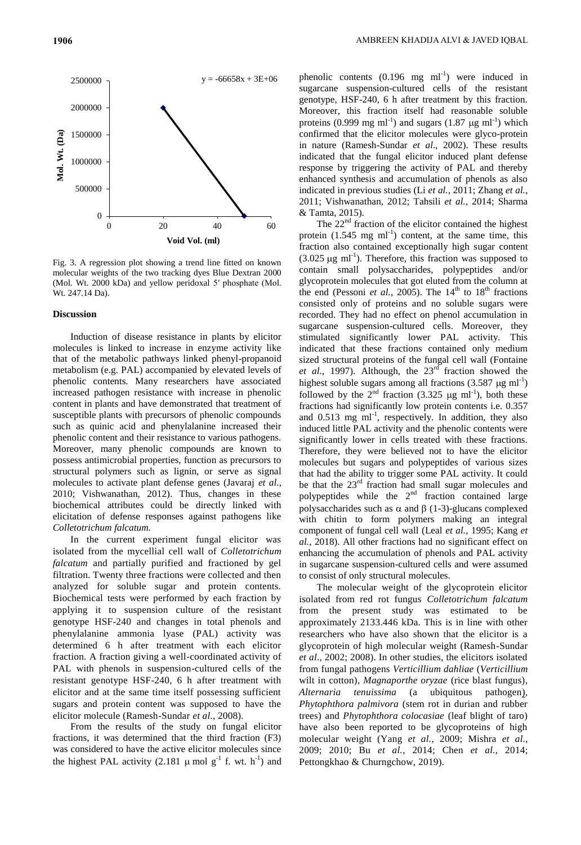

Fig. 3. A regression plot showing a trend line fitted on known molecular weights of the two tracking dyes Blue Dextran 2000 (Mol. Wt. 2000 kDa) and yellow peridoxal 5′ phosphate (Mol. Wt. 247.14 Da).

#### **Discussion**

Induction of disease resistance in plants by elicitor molecules is linked to increase in enzyme activity like that of the metabolic pathways linked phenyl-propanoid metabolism (e.g. PAL) accompanied by elevated levels of phenolic contents. Many researchers have associated increased pathogen resistance with increase in phenolic content in plants and have demonstrated that treatment of susceptible plants with precursors of phenolic compounds such as quinic acid and phenylalanine increased their phenolic content and their resistance to various pathogens. Moreover, many phenolic compounds are known to possess antimicrobial properties, function as precursors to structural polymers such as lignin, or serve as signal molecules to activate plant defense genes (Javaraj *et al.*, 2010; Vishwanathan, 2012). Thus, changes in these biochemical attributes could be directly linked with elicitation of defense responses against pathogens like *Colletotrichum falcatum.*

In the current experiment fungal elicitor was isolated from the mycellial cell wall of *Colletotrichum falcatum* and partially purified and fractioned by gel filtration. Twenty three fractions were collected and then analyzed for soluble sugar and protein contents. Biochemical tests were performed by each fraction by applying it to suspension culture of the resistant genotype HSF-240 and changes in total phenols and phenylalanine ammonia lyase (PAL) activity was determined 6 h after treatment with each elicitor fraction. A fraction giving a well-coordinated activity of PAL with phenols in suspension-cultured cells of the resistant genotype HSF-240, 6 h after treatment with elicitor and at the same time itself possessing sufficient sugars and protein content was supposed to have the elicitor molecule (Ramesh-Sundar *et al.*, 2008).

From the results of the study on fungal elicitor fractions, it was determined that the third fraction (F3) was considered to have the active elicitor molecules since the highest PAL activity (2.181  $\mu$  mol g<sup>-1</sup> f. wt. h<sup>-1</sup>) and

phenolic contents  $(0.196 \text{ mg } \text{ml}^{-1})$  were induced in sugarcane suspension-cultured cells of the resistant genotype, HSF-240, 6 h after treatment by this fraction. Moreover, this fraction itself had reasonable soluble proteins (0.999 mg ml<sup>-1</sup>) and sugars (1.87  $\mu$ g ml<sup>-1</sup>) which confirmed that the elicitor molecules were glyco-protein in nature (Ramesh-Sundar *et al*., 2002). These results indicated that the fungal elicitor induced plant defense response by triggering the activity of PAL and thereby enhanced synthesis and accumulation of phenols as also indicated in previous studies (Li *et al.*, 2011; Zhang *et al.*, 2011; Vishwanathan, 2012; Tahsili *et al.*, 2014; Sharma & Tamta, 2015).

The  $22<sup>nd</sup>$  fraction of the elicitor contained the highest protein  $(1.545 \text{ mg ml}^{-1})$  content, at the same time, this fraction also contained exceptionally high sugar content  $(3.025 \,\mu g \text{ ml}^{-1})$ . Therefore, this fraction was supposed to contain small polysaccharides, polypeptides and/or glycoprotein molecules that got eluted from the column at the end (Pessoni *et al.*, 2005). The  $14<sup>th</sup>$  to  $18<sup>th</sup>$  fractions consisted only of proteins and no soluble sugars were recorded. They had no effect on phenol accumulation in sugarcane suspension-cultured cells. Moreover, they stimulated significantly lower PAL activity. This indicated that these fractions contained only medium sized structural proteins of the fungal cell wall (Fontaine *et al.*, 1997). Although, the  $23<sup>rd</sup>$  fraction showed the highest soluble sugars among all fractions  $(3.587 \mu g \text{ ml}^{-1})$ followed by the  $2<sup>nd</sup>$  fraction (3.325 µg ml<sup>-1</sup>), both these fractions had significantly low protein contents i.e. 0.357 and  $0.513$  mg  $\text{ml}^{-1}$ , respectively. In addition, they also induced little PAL activity and the phenolic contents were significantly lower in cells treated with these fractions. Therefore, they were believed not to have the elicitor molecules but sugars and polypeptides of various sizes that had the ability to trigger some PAL activity. It could be that the 23<sup>rd</sup> fraction had small sugar molecules and polypeptides while the  $2<sup>nd</sup>$  fraction contained large polysaccharides such as  $\alpha$  and  $\beta$  (1-3)-glucans complexed with chitin to form polymers making an integral component of fungal cell wall (Leal *et al.*, 1995; Kang *et al.*, 2018). All other fractions had no significant effect on enhancing the accumulation of phenols and PAL activity in sugarcane suspension-cultured cells and were assumed to consist of only structural molecules.

The molecular weight of the glycoprotein elicitor isolated from red rot fungus *Colletotrichum falcatum* from the present study was estimated to be approximately 2133.446 kDa. This is in line with other researchers who have also shown that the elicitor is a glycoprotein of high molecular weight (Ramesh-Sundar *et al*., 2002; 2008). In other studies, the elicitors isolated from fungal pathogens *Verticillium dahliae* (*Verticillium*  wilt in cotton)*, Magnaporthe oryzae* (rice blast fungus)*, Alternaria tenuissima* (a ubiquitous pathogen)*, Phytophthora palmivora* (stem rot in durian and rubber trees) and *Phytophthora colocasiae* (leaf blight of taro) have also been reported to be glycoproteins of high molecular weight (Yang *et al.*, 2009; Mishra *et al.*, 2009; 2010; Bu *et al.*, 2014; Chen *et al.*, 2014; Pettongkhao & Churngchow, 2019).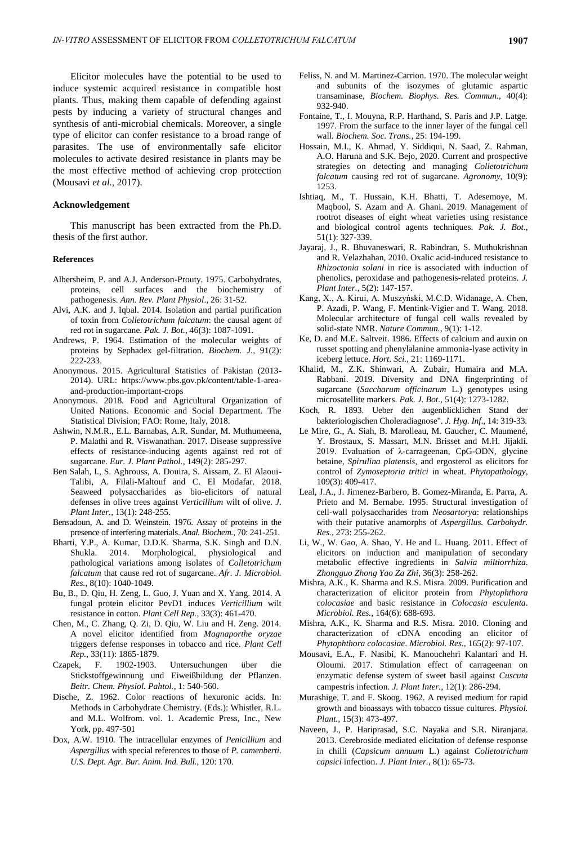Elicitor molecules have the potential to be used to induce systemic acquired resistance in compatible host plants. Thus, making them capable of defending against pests by inducing a variety of structural changes and synthesis of anti-microbial chemicals. Moreover, a single type of elicitor can confer resistance to a broad range of parasites. The use of environmentally safe elicitor molecules to activate desired resistance in plants may be the most effective method of achieving crop protection (Mousavi *et al.*, 2017).

### **Acknowledgement**

This manuscript has been extracted from the Ph.D. thesis of the first author.

#### **References**

- Albersheim, P. and A.J. Anderson-Prouty. 1975. Carbohydrates, proteins, cell surfaces and the biochemistry pathogenesis. *Ann. Rev. Plant Physiol*., 26: 31-52.
- Alvi, A.K. and J. Iqbal. 2014. Isolation and partial purification of toxin from *Colletotrichum falcatum*: the causal agent of red rot in sugarcane. *Pak. J. Bot.*, 46(3): 1087-1091.
- Andrews, P. 1964. Estimation of the molecular weights of proteins by Sephadex gel-filtration. *Biochem. J.*, 91(2): 222-233.
- Anonymous. 2015. Agricultural Statistics of Pakistan (2013- 2014). URL: https://www.pbs.gov.pk/content/table-1-areaand-production-important-crops
- Anonymous. 2018. Food and Agricultural Organization of United Nations. Economic and Social Department. The Statistical Division; FAO: Rome, Italy, 2018.
- Ashwin, N.M.R., E.L. Barnabas, A.R. Sundar, M. Muthumeena, P. Malathi and R. Viswanathan. 2017. Disease suppressive effects of resistance-inducing agents against red rot of sugarcane. *Eur. J. Plant Pathol.*, 149(2): 285-297.
- Ben Salah, I., S. Aghrouss, A. Douira, S. Aissam, Z. El Alaoui-Talibi, A. Filali-Maltouf and C. El Modafar. 2018. Seaweed polysaccharides as bio-elicitors of natural defenses in olive trees against *Verticillium* wilt of olive. *J. Plant Inter.*, 13(1): 248-255.
- Bensadoun, A. and D. Weinstein. 1976. Assay of proteins in the presence of interfering materials. *Anal. Biochem.*, 70: 241-251.
- Bharti, Y.P., A. Kumar, D.D.K. Sharma, S.K. Singh and D.N. Shukla. 2014. Morphological, physiological and pathological variations among isolates of *Colletotrichum falcatum* that cause red rot of sugarcane. *Afr. J. Microbiol. Res.*, 8(10): 1040-1049.
- Bu, B., D. Qiu, H. Zeng, L. Guo, J. Yuan and X. Yang. 2014. A fungal protein elicitor PevD1 induces *Verticillium* wilt resistance in cotton. *Plant Cell Rep.*, 33(3): 461-470.
- Chen, M., C. Zhang, Q. Zi, D. Qiu, W. Liu and H. Zeng. 2014. A novel elicitor identified from *Magnaporthe oryzae* triggers defense responses in tobacco and rice. *Plant Cell Rep.*, 33(11): 1865-1879.
- Czapek, F. 1902-1903. Untersuchungen über die Stickstoffgewinnung und Eiweißbildung der Pflanzen. *Beitr. Chem. Physiol. Pahtol.*, 1: 540-560.
- Dische, Z. 1962. Color reactions of hexuronic acids. In: Methods in Carbohydrate Chemistry. (Eds.): Whistler, R.L. and M.L. Wolfrom. vol. 1. Academic Press, Inc., New York, pp. 497-501
- Dox, A.W. 1910. The intracellular enzymes of *Penicillium* and *Aspergillus* with special references to those of *P. camenberti*. *U.S. Dept. Agr. Bur. Anim. Ind. Bull.*, 120: 170.
- Feliss, N. and M. Martinez-Carrion. 1970. The molecular weight and subunits of the isozymes of glutamic aspartic transaminase, *Biochem. Biophys. Res. Commun.*, 40(4): 932-940.
- Fontaine, T., I. Mouyna, R.P. Harthand, S. Paris and J.P. Latge. 1997. From the surface to the inner layer of the fungal cell wall. *Biochem. Soc. Trans.,* 25: 194-199.
- Hossain, M.I., K. Ahmad, Y. Siddiqui, N. Saad, Z. Rahman, A.O. Haruna and S.K. Bejo, 2020. Current and prospective strategies on detecting and managing *Colletotrichum falcatum* causing red rot of sugarcane. *Agronomy*, 10(9): 1253.
- Ishtiaq, M., T. Hussain, K.H. Bhatti, T. Adesemoye, M. Maqbool, S. Azam and A. Ghani. 2019. Management of rootrot diseases of eight wheat varieties using resistance and biological control agents techniques. *Pak. J. Bot*., 51(1): 327-339.
- Jayaraj, J., R. Bhuvaneswari, R. Rabindran, S. Muthukrishnan and R. Velazhahan, 2010. Oxalic acid-induced resistance to *Rhizoctonia solani* in rice is associated with induction of phenolics, peroxidase and pathogenesis-related proteins. *J. Plant Inter.*, 5(2): 147-157.
- Kang, X., A. Kirui, A. Muszyński, M.C.D. Widanage, A. Chen, P. Azadi, P. Wang, F. Mentink-Vigier and T. Wang. 2018. Molecular architecture of fungal cell walls revealed by solid-state NMR. *Nature Commun.*, 9(1): 1-12.
- Ke, D. and M.E. Saltveit. 1986. Effects of calcium and auxin on russet spotting and phenylalanine ammonia-lyase activity in iceberg lettuce. *Hort. Sci.*, 21: 1169-1171.
- Khalid, M., Z.K. Shinwari, A. Zubair, Humaira and M.A. Rabbani. 2019. Diversity and DNA fingerprinting of sugarcane (*Saccharum officinarum* L.) genotypes using microsatellite markers. *Pak. J. Bot*., 51(4): 1273-1282.
- Koch, R. 1893. Ueber den augenblicklichen Stand der bakteriologischen Choleradiagnose". *J. Hyg. Inf*., 14: 319-33.
- Le Mire, G., A. Siah, B. Marolleau, M. Gaucher, C. Maumené, Y. Brostaux, S. Massart, M.N. Brisset and M.H. Jijakli. 2019. Evaluation of λ-carrageenan, CpG-ODN, glycine betaine, *Spirulina platensis*, and ergosterol as elicitors for control of *Zymoseptoria tritici* in wheat. *Phytopathology*, 109(3): 409-417.
- Leal, J.A., J. Jimenez-Barbero, B. Gomez-Miranda, E. Parra, A. Prieto and M. Bernabe. 1995. Structural investigation of cell-wall polysaccharides from *Neosartorya*: relationships with their putative anamorphs of *Aspergillus. Carbohydr. Res.,* 273: 255-262.
- Li, W., W. Gao, A. Shao, Y. He and L. Huang. 2011. Effect of elicitors on induction and manipulation of secondary metabolic effective ingredients in *Salvia miltiorrhiza*. *Zhongguo Zhong Yao Za Zhi*, 36(3): 258-262.
- Mishra, A.K., K. Sharma and R.S. Misra. 2009. Purification and characterization of elicitor protein from *Phytophthora colocasiae* and basic resistance in *Colocasia esculenta*. *Microbiol. Res.*, 164(6): 688-693.
- Mishra, A.K., K. Sharma and R.S. Misra. 2010. Cloning and characterization of cDNA encoding an elicitor of *Phytophthora colocasiae*. *Microbiol. Res.*, 165(2): 97-107.
- Mousavi, E.A., F. Nasibi, K. Manouchehri Kalantari and H. Oloumi. 2017. Stimulation effect of carrageenan on enzymatic defense system of sweet basil against *Cuscuta* campestris infection. *J. Plant Inter.*, 12(1): 286-294.
- Murashige, T. and F. Skoog. 1962. A revised medium for rapid growth and bioassays with tobacco tissue cultures. *Physiol. Plant.,* 15(3): 473-497.
- Naveen, J., P. Hariprasad, S.C. Nayaka and S.R. Niranjana. 2013. Cerebroside mediated elicitation of defense response in chilli (*Capsicum annuum* L.) against *Colletotrichum capsici* infection. *J. Plant Inter.*, 8(1): 65-73.